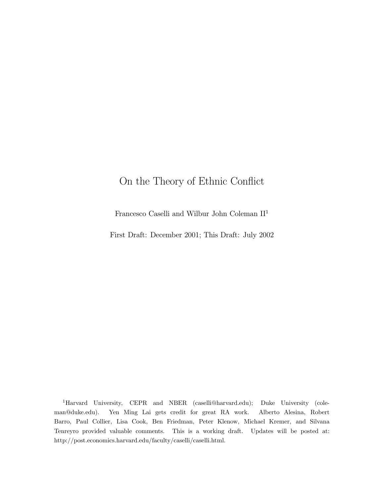# On the Theory of Ethnic Conflict

Francesco Caselli and Wilbur John Coleman II<sup>1</sup>

First Draft: December 2001; This Draft: July 2002

<sup>1</sup>Harvard University, CEPR and NBER (caselli@harvard.edu); Duke University (coleman@duke.edu). Yen Ming Lai gets credit for great RA work. Alberto Alesina, Robert Barro, Paul Collier, Lisa Cook, Ben Friedman, Peter Klenow, Michael Kremer, and Silvana Tenreyro provided valuable comments. This is a working draft. Updates will be posted at: http://post.economics.harvard.edu/faculty/caselli/caselli.html.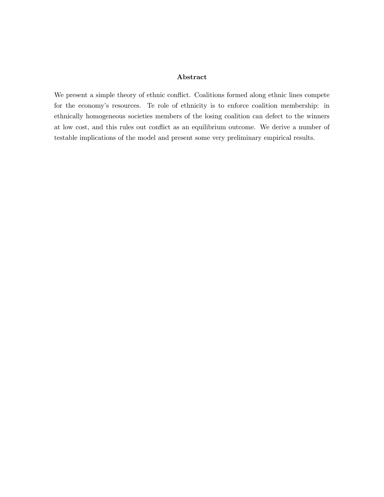### Abstract

We present a simple theory of ethnic conflict. Coalitions formed along ethnic lines compete for the economy's resources. Te role of ethnicity is to enforce coalition membership: in ethnically homogeneous societies members of the losing coalition can defect to the winners at low cost, and this rules out conflict as an equilibrium outcome. We derive a number of testable implications of the model and present some very preliminary empirical results.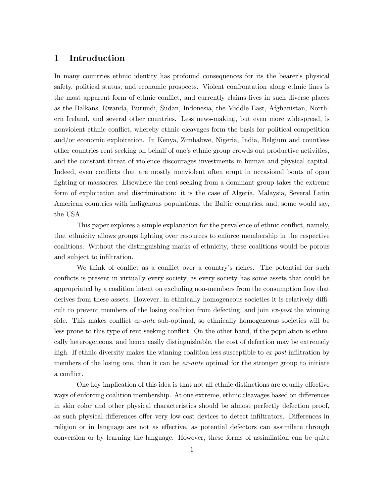### 1 Introduction

In many countries ethnic identity has profound consequences for its the bearer's physical safety, political status, and economic prospects. Violent confrontation along ethnic lines is the most apparent form of ethnic conflict, and currently claims lives in such diverse places as the Balkans, Rwanda, Burundi, Sudan, Indonesia, the Middle East, Afghanistan, Northern Ireland, and several other countries. Less news-making, but even more widespread, is nonviolent ethnic conflict, whereby ethnic cleavages form the basis for political competition and/or economic exploitation. In Kenya, Zimbabwe, Nigeria, India, Belgium and countless other countries rent seeking on behalf of one's ethnic group crowds out productive activities, and the constant threat of violence discourages investments in human and physical capital. Indeed, even conflicts that are mostly nonviolent often erupt in occasional bouts of open fighting or massacres. Elsewhere the rent seeking from a dominant group takes the extreme form of exploitation and discrimination: it is the case of Algeria, Malaysia, Several Latin American countries with indigenous populations, the Baltic countries, and, some would say, the USA.

This paper explores a simple explanation for the prevalence of ethnic conflict, namely, that ethnicity allows groups fighting over resources to enforce membership in the respective coalitions. Without the distinguishing marks of ethnicity, these coalitions would be porous and subject to infiltration.

We think of conflict as a conflict over a country's riches. The potential for such conflicts is present in virtually every society, as every society has some assets that could be appropriated by a coalition intent on excluding non-members from the consumption flow that derives from these assets. However, in ethnically homogeneous societies it is relatively difficult to prevent members of the losing coalition from defecting, and join ex-post the winning side. This makes conflict *ex-ante* sub-optimal, so ethnically homogeneous societies will be less prone to this type of rent-seeking conflict. On the other hand, if the population is ethnically heterogeneous, and hence easily distinguishable, the cost of defection may be extremely high. If ethnic diversity makes the winning coalition less susceptible to ex-post infiltration by members of the losing one, then it can be  $ex$ -ante optimal for the stronger group to initiate a conflict.

One key implication of this idea is that not all ethnic distinctions are equally effective ways of enforcing coalition membership. At one extreme, ethnic cleavages based on differences in skin color and other physical characteristics should be almost perfectly defection proof, as such physical differences offer very low-cost devices to detect infiltrators. Differences in religion or in language are not as effective, as potential defectors can assimilate through conversion or by learning the language. However, these forms of assimilation can be quite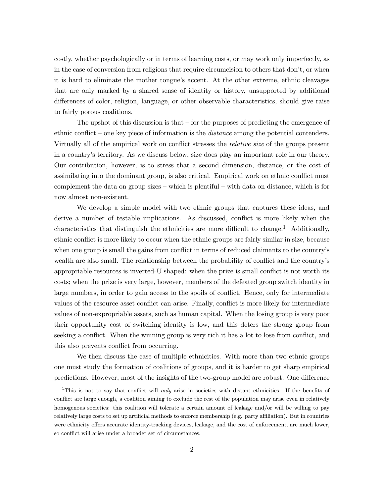costly, whether psychologically or in terms of learning costs, or may work only imperfectly, as in the case of conversion from religions that require circumcision to others that don't, or when it is hard to eliminate the mother tongue's accent. At the other extreme, ethnic cleavages that are only marked by a shared sense of identity or history, unsupported by additional differences of color, religion, language, or other observable characteristics, should give raise to fairly porous coalitions.

The upshot of this discussion is that  $-$  for the purposes of predicting the emergence of ethnic conflict — one key piece of information is the distance among the potential contenders. Virtually all of the empirical work on conflict stresses the relative size of the groups present in a country's territory. As we discuss below, size does play an important role in our theory. Our contribution, however, is to stress that a second dimension, distance, or the cost of assimilating into the dominant group, is also critical. Empirical work on ethnic conflict must complement the data on group sizes — which is plentiful — with data on distance, which is for now almost non-existent.

We develop a simple model with two ethnic groups that captures these ideas, and derive a number of testable implications. As discussed, conflict is more likely when the characteristics that distinguish the ethnicities are more difficult to change.<sup>1</sup> Additionally, ethnic conflict is more likely to occur when the ethnic groups are fairly similar in size, because when one group is small the gains from conflict in terms of reduced claimants to the country's wealth are also small. The relationship between the probability of conflict and the country's appropriable resources is inverted-U shaped: when the prize is small conflict is not worth its costs; when the prize is very large, however, members of the defeated group switch identity in large numbers, in order to gain access to the spoils of conflict. Hence, only for intermediate values of the resource asset conflict can arise. Finally, conflict is more likely for intermediate values of non-expropriable assets, such as human capital. When the losing group is very poor their opportunity cost of switching identity is low, and this deters the strong group from seeking a conflict. When the winning group is very rich it has a lot to lose from conflict, and this also prevents conflict from occurring.

We then discuss the case of multiple ethnicities. With more than two ethnic groups one must study the formation of coalitions of groups, and it is harder to get sharp empirical predictions. However, most of the insights of the two-group model are robust. One difference

<sup>&</sup>lt;sup>1</sup>This is not to say that conflict will *only* arise in societies with distant ethnicities. If the benefits of conflict are large enough, a coalition aiming to exclude the rest of the population may arise even in relatively homogenous societies: this coalition will tolerate a certain amount of leakage and/or will be willing to pay relatively large costs to set up artificial methods to enforce membership (e.g. party affiliation). But in countries were ethnicity offers accurate identity-tracking devices, leakage, and the cost of enforcement, are much lower, so conflict will arise under a broader set of circumstances.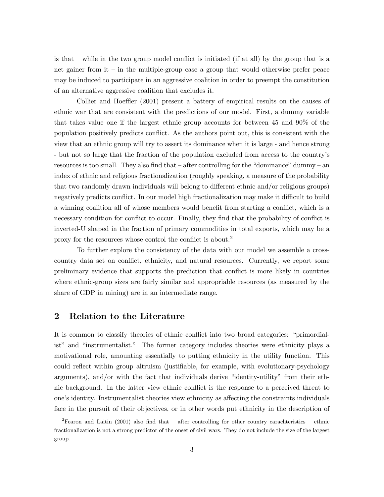is that — while in the two group model conflict is initiated (if at all) by the group that is a net gainer from  $t - in$  the multiple-group case a group that would otherwise prefer peace may be induced to participate in an aggressive coalition in order to preempt the constitution of an alternative aggressive coalition that excludes it.

Collier and Hoeffler (2001) present a battery of empirical results on the causes of ethnic war that are consistent with the predictions of our model. First, a dummy variable that takes value one if the largest ethnic group accounts for between 45 and 90% of the population positively predicts conflict. As the authors point out, this is consistent with the view that an ethnic group will try to assert its dominance when it is large - and hence strong - but not so large that the fraction of the population excluded from access to the country's resources is too small. They also find that — after controlling for the "dominance" dummy — an index of ethnic and religious fractionalization (roughly speaking, a measure of the probability that two randomly drawn individuals will belong to different ethnic and/or religious groups) negatively predicts conflict. In our model high fractionalization may make it difficult to build a winning coalition all of whose members would benefit from starting a conflict, which is a necessary condition for conflict to occur. Finally, they find that the probability of conflict is inverted-U shaped in the fraction of primary commodities in total exports, which may be a proxy for the resources whose control the conflict is about.<sup>2</sup>

To further explore the consistency of the data with our model we assemble a crosscountry data set on conflict, ethnicity, and natural resources. Currently, we report some preliminary evidence that supports the prediction that conflict is more likely in countries where ethnic-group sizes are fairly similar and appropriable resources (as measured by the share of GDP in mining) are in an intermediate range.

### 2 Relation to the Literature

It is common to classify theories of ethnic conflict into two broad categories: "primordialist" and "instrumentalist." The former category includes theories were ethnicity plays a motivational role, amounting essentially to putting ethnicity in the utility function. This could reflect within group altruism (justifiable, for example, with evolutionary-psychology arguments), and/or with the fact that individuals derive "identity-utility" from their ethnic background. In the latter view ethnic conflict is the response to a perceived threat to one's identity. Instrumentalist theories view ethnicity as affecting the constraints individuals face in the pursuit of their objectives, or in other words put ethnicity in the description of

<sup>&</sup>lt;sup>2</sup>Fearon and Laitin (2001) also find that – after controlling for other country carachteristics – ethnic fractionalization is not a strong predictor of the onset of civil wars. They do not include the size of the largest group.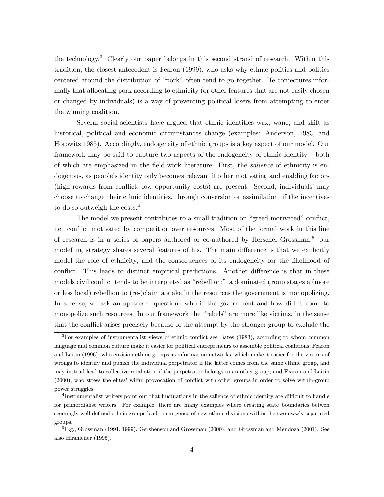the technology.<sup>3</sup> Clearly our paper belongs in this second strand of research. Within this tradition, the closest antecedent is Fearon (1999), who asks why ethnic politics and politics centered around the distribution of "pork" often tend to go together. He conjectures informally that allocating pork according to ethnicity (or other features that are not easily chosen or changed by individuals) is a way of preventing political losers from attempting to enter the winning coalition.

Several social scientists have argued that ethnic identities wax, wane, and shift as historical, political and economic circumstances change (examples: Anderson, 1983, and Horowitz 1985). Accordingly, endogeneity of ethnic groups is a key aspect of our model. Our framework may be said to capture two aspects of the endogeneity of ethnic identity — both of which are emphasized in the field-work literature. First, the salience of ethnicity is endogenous, as people's identity only becomes relevant if other motivating and enabling factors (high rewards from conflict, low opportunity costs) are present. Second, individuals' may choose to change their ethnic identities, through conversion or assimilation, if the incentives to do so outweigh the costs.<sup>4</sup>

The model we present contributes to a small tradition on "greed-motivated" conflict, i.e. conflict motivated by competition over resources. Most of the formal work in this line of research is in a series of papers authored or co-authored by Herschel Grossman:<sup>5</sup> our modelling strategy shares several features of his. The main difference is that we explicitly model the role of ethnicity, and the consequences of its endogeneity for the likelihood of conflict. This leads to distinct empirical predictions. Another difference is that in these models civil conflict tends to be interpreted as "rebellion:" a dominated group stages a (more or less local) rebellion to (re-)claim a stake in the resources the government is monopolizing. In a sense, we ask an upstream question: who is the government and how did it come to monopolize such resources. In our framework the "rebels" are more like victims, in the sense that the conflict arises precisely because of the attempt by the stronger group to exclude the

<sup>&</sup>lt;sup>3</sup>For examples of instrumentalist views of ethnic conflict see Bates (1983), according to whom common language and common culture make it easier for political entrepreneurs to assemble political coalitions; Fearon and Laitin (1996), who envision ethnic groups as information networks, which make it easier for the victims of wrongs to identify and punish the individual perpetrator if the latter comes from the same ethnic group, and may instead lead to collective retaliation if the perpetrator belongs to an other group; and Fearon and Laitin (2000), who stress the elites' wilful provocation of conflict with other groups in order to solve within-group power struggles.

<sup>4</sup>Instrumentalist writers point out that fluctuations in the salience of ethnic identity are difficult to handle for primordialist writers. For example, there are many examples where creating state boundaries betwen seemingly well defined ethnic groups lead to emrgence of new ethnic divisions within the two nwwly separated groups.

 ${}^{5}E.g., Grossman (1991, 1999), Gershenson and Grossman (2000), and Grossman and Mendoza (2001). See$ also Hirshleifer (1995).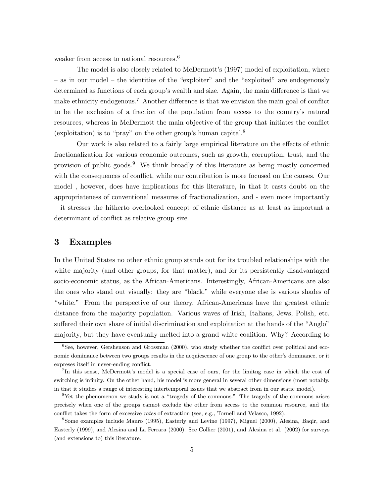weaker from access to national resources.<sup>6</sup>

The model is also closely related to McDermott's (1997) model of exploitation, where — as in our model — the identities of the "exploiter" and the "exploited" are endogenously determined as functions of each group's wealth and size. Again, the main difference is that we make ethnicity endogenous.<sup>7</sup> Another difference is that we envision the main goal of conflict to be the exclusion of a fraction of the population from access to the country's natural resources, whereas in McDermott the main objective of the group that initiates the conflict (exploitation) is to "pray" on the other group's human capital.<sup>8</sup>

Our work is also related to a fairly large empirical literature on the effects of ethnic fractionalization for various economic outcomes, such as growth, corruption, trust, and the provision of public goods.<sup>9</sup> We think broadly of this literature as being mostly concerned with the consequences of conflict, while our contribution is more focused on the causes. Our model , however, does have implications for this literature, in that it casts doubt on the appropriateness of conventional measures of fractionalization, and - even more importantly — it stresses the hitherto overlooked concept of ethnic distance as at least as important a determinant of conflict as relative group size.

### 3 Examples

In the United States no other ethnic group stands out for its troubled relationships with the white majority (and other groups, for that matter), and for its persistently disadvantaged socio-economic status, as the African-Americans. Interestingly, African-Americans are also the ones who stand out visually: they are "black," while everyone else is various shades of "white." From the perspective of our theory, African-Americans have the greatest ethnic distance from the majority population. Various waves of Irish, Italians, Jews, Polish, etc. suffered their own share of initial discrimination and exploitation at the hands of the "Anglo" majority, but they have eventually melted into a grand white coalition. Why? According to

 ${}^{6}$ See, however, Gershenson and Grossman (2000), who study whether the conflict over political and economic dominance between two groups results in the acquiescence of one group to the other's dominance, or it expreses itself in never-ending conflict.

<sup>7</sup>In this sense, McDermott's model is a special case of ours, for the limitng case in which the cost of switching is infinity. On the other hand, his model is more general in several other dimensions (most notably, in that it studies a range of interesting intertemporal issues that we abstract from in our static model).

<sup>8</sup>Yet the phenomenon we study is not a "tragedy of the commons." The tragedy of the commons arises precisely when one of the groups cannot exclude the other from access to the common resource, and the conflict takes the form of excessive rates of extraction (see, e.g., Tornell and Velasco, 1992).

<sup>9</sup>Some examples include Mauro (1995), Easterly and Levine (1997), Miguel (2000), Alesina, Baqir, and Easterly (1999), and Alesina and La Ferrara (2000). See Collier (2001), and Alesina et al. (2002) for surveys (and extensions to) this literature.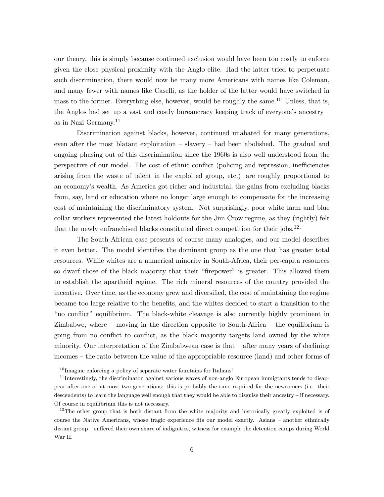our theory, this is simply because continued exclusion would have been too costly to enforce given the close physical proximity with the Anglo elite. Had the latter tried to perpetuate such discrimination, there would now be many more Americans with names like Coleman, and many fewer with names like Caselli, as the holder of the latter would have switched in mass to the former. Everything else, however, would be roughly the same.<sup>10</sup> Unless, that is, the Anglos had set up a vast and costly bureaucracy keeping track of everyone's ancestry as in Nazi Germany.<sup>11</sup>

Discrimination against blacks, however, continued unabated for many generations, even after the most blatant exploitation — slavery — had been abolished. The gradual and ongoing phasing out of this discrimination since the 1960s is also well understood from the perspective of our model. The cost of ethnic conflict (policing and repression, inefficiencies arising from the waste of talent in the exploited group, etc.) are roughly proportional to an economy's wealth. As America got richer and industrial, the gains from excluding blacks from, say, land or education where no longer large enough to compensate for the increasing cost of maintaining the discriminatory system. Not surprisingly, poor white farm and blue collar workers represented the latest holdouts for the Jim Crow regime, as they (rightly) felt that the newly enfranchised blacks constituted direct competition for their jobs.12,

The South-African case presents of course many analogies, and our model describes it even better. The model identifies the dominant group as the one that has greater total resources. While whites are a numerical minority in South-Africa, their per-capita resources so dwarf those of the black majority that their "firepower" is greater. This allowed them to establish the apartheid regime. The rich mineral resources of the country provided the incentive. Over time, as the economy grew and diversified, the cost of maintaining the regime became too large relative to the benefits, and the whites decided to start a transition to the "no conflict" equilibrium. The black-white cleavage is also currently highly prominent in Zimbabwe, where  $-$  moving in the direction opposite to South-Africa  $-$  the equilibrium is going from no conflict to conflict, as the black majority targets land owned by the white minority. Our interpretation of the Zimbabwean case is that  $-$  after many years of declining incomes — the ratio between the value of the appropriable resource (land) and other forms of

 $10$ Imagine enforcing a policy of separate water fountains for Italians!

<sup>&</sup>lt;sup>11</sup>Interestingly, the discriminaton against various waves of non-anglo European immigrants tends to disappear after one or at most two generations: this is probably the time required for the newcomers (i.e. their descendents) to learn the language well enough that they would be able to disguise their ancestry — if necessary. Of course in equilibrium this is not necessary.

<sup>&</sup>lt;sup>12</sup>The other group that is both distant from the white majority and historically greatly exploited is of course the Native Americans, whose tragic experience fits our model exactly. Asians — another ethnically distant group — suffered their own share of indignities, witness for example the detention camps during World War II.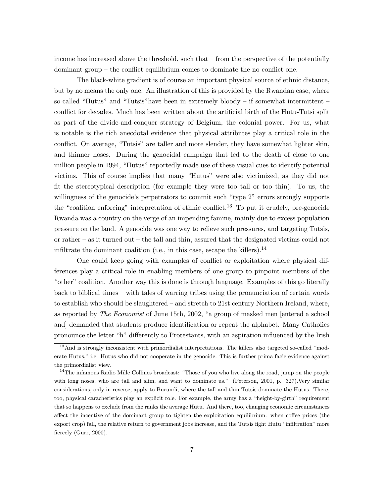income has increased above the threshold, such that — from the perspective of the potentially dominant group — the conflict equilibrium comes to dominate the no conflict one.

The black-white gradient is of course an important physical source of ethnic distance, but by no means the only one. An illustration of this is provided by the Rwandan case, where so-called "Hutus" and "Tutsis" have been in extremely bloody  $-$  if somewhat intermittent  $$ conflict for decades. Much has been written about the artificial birth of the Hutu-Tutsi split as part of the divide-and-conquer strategy of Belgium, the colonial power. For us, what is notable is the rich anecdotal evidence that physical attributes play a critical role in the conflict. On average, "Tutsis" are taller and more slender, they have somewhat lighter skin, and thinner noses. During the genocidal campaign that led to the death of close to one million people in 1994, "Hutus" reportedly made use of these visual cues to identify potential victims. This of course implies that many "Hutus" were also victimized, as they did not fit the stereotypical description (for example they were too tall or too thin). To us, the willingness of the genocide's perpetrators to commit such "type 2" errors strongly supports the "coalition enforcing" interpretation of ethnic conflict.<sup>13</sup> To put it crudely, pre-genocide Rwanda was a country on the verge of an impending famine, mainly due to excess population pressure on the land. A genocide was one way to relieve such pressures, and targeting Tutsis, or rather — as it turned out — the tall and thin, assured that the designated victims could not infiltrate the dominant coalition (i.e., in this case, escape the killers).<sup>14</sup>

One could keep going with examples of conflict or exploitation where physical differences play a critical role in enabling members of one group to pinpoint members of the "other" coalition. Another way this is done is through language. Examples of this go literally back to biblical times — with tales of warring tribes using the pronunciation of certain words to establish who should be slaughtered — and stretch to 21st century Northern Ireland, where, as reported by The Economist of June 15th, 2002, "a group of masked men [entered a school and] demanded that students produce identification or repeat the alphabet. Many Catholics pronounce the letter "h" differently to Protestants, with an aspiration influenced by the Irish

<sup>&</sup>lt;sup>13</sup>And is strongly inconsistent with primordialist interpretations. The killers also targeted so-called "moderate Hutus," i.e. Hutus who did not cooperate in the genocide. This is further prima facie evidence against the primordialist view.

<sup>&</sup>lt;sup>14</sup>The infamous Radio Mille Collines broadcast: "Those of you who live along the road, jump on the people with long noses, who are tall and slim, and want to dominate us." (Peterson, 2001, p. 327).Very similar considerations, only in reverse, apply to Burundi, where the tall and thin Tutsis dominate the Hutus. There, too, physical caracheristics play an explicit role. For example, the army has a "height-by-girth" requirement that so happens to exclude from the ranks the average Hutu. And there, too, changing economic circumstances affect the incentive of the dominant group to tighten the exploitation equilibrium: when coffee prices (the export crop) fall, the relative return to government jobs increase, and the Tutsis fight Hutu "infiltration" more fiercely (Gurr, 2000).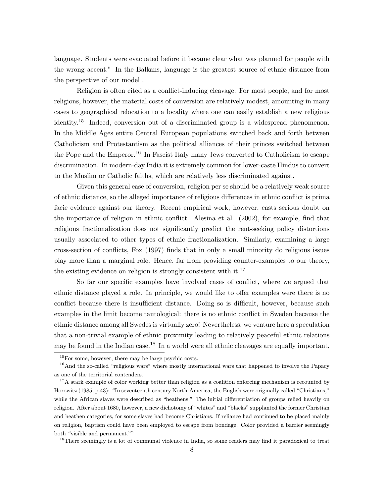language. Students were evacuated before it became clear what was planned for people with the wrong accent." In the Balkans, language is the greatest source of ethnic distance from the perspective of our model .

Religion is often cited as a conflict-inducing cleavage. For most people, and for most religions, however, the material costs of conversion are relatively modest, amounting in many cases to geographical relocation to a locality where one can easily establish a new religious identity.<sup>15</sup> Indeed, conversion out of a discriminated group is a widespread phenomenon. In the Middle Ages entire Central European populations switched back and forth between Catholicism and Protestantism as the political alliances of their princes switched between the Pope and the Emperor.<sup>16</sup> In Fascist Italy many Jews converted to Catholicism to escape discrimination. In modern-day India it is extremely common for lower-caste Hindus to convert to the Muslim or Catholic faiths, which are relatively less discriminated against.

Given this general ease of conversion, religion per se should be a relatively weak source of ethnic distance, so the alleged importance of religious differences in ethnic conflict is prima facie evidence against our theory. Recent empirical work, however, casts serious doubt on the importance of religion in ethnic conflict. Alesina et al. (2002), for example, find that religious fractionalization does not significantly predict the rent-seeking policy distortions usually associated to other types of ethnic fractionalization. Similarly, examining a large cross-section of conflicts, Fox (1997) finds that in only a small minority do religious issues play more than a marginal role. Hence, far from providing counter-examples to our theory, the existing evidence on religion is strongly consistent with  $\mathrm{it}^{17}$ .

So far our specific examples have involved cases of conflict, where we argued that ethnic distance played a role. In principle, we would like to offer examples were there is no conflict because there is insufficient distance. Doing so is difficult, however, because such examples in the limit become tautological: there is no ethnic conflict in Sweden because the ethnic distance among all Swedes is virtually zero! Nevertheless, we venture here a speculation that a non-trivial example of ethnic proximity leading to relatively peaceful ethnic relations may be found in the Indian case.<sup>18</sup> In a world were all ethnic cleavages are equally important,

<sup>18</sup>There seemingly is a lot of communal violence in India, so some readers may find it paradoxical to treat

<sup>&</sup>lt;sup>15</sup>For some, however, there may be large psychic costs.

<sup>&</sup>lt;sup>16</sup>And the so-called "religious wars" where mostly international wars that happened to involve the Papacy as one of the territorial contenders.

<sup>&</sup>lt;sup>17</sup>A stark example of color working better than religion as a coalition enforcing mechanism is recounted by Horowitz (1985, p.43): "In seventeenth century North-America, the English were originally called "Christians," while the African slaves were described as "heathens." The initial differentiation of groups relied heavily on religion. After about 1680, however, a new dichotomy of "whites" and "blacks" supplanted the former Christian and heathen categories, for some slaves had become Christians. If reliance had continued to be placed mainly on religion, baptism could have been employed to escape from bondage. Color provided a barrier seemingly both "visible and permanent.""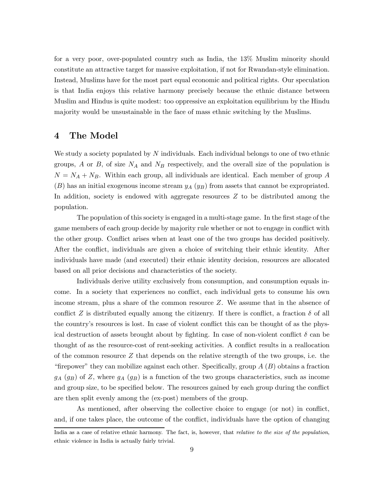for a very poor, over-populated country such as India, the 13% Muslim minority should constitute an attractive target for massive exploitation, if not for Rwandan-style elimination. Instead, Muslims have for the most part equal economic and political rights. Our speculation is that India enjoys this relative harmony precisely because the ethnic distance between Muslim and Hindus is quite modest: too oppressive an exploitation equilibrium by the Hindu majority would be unsustainable in the face of mass ethnic switching by the Muslims.

### 4 The Model

We study a society populated by  $N$  individuals. Each individual belongs to one of two ethnic groups, A or B, of size  $N_A$  and  $N_B$  respectively, and the overall size of the population is  $N = N_A + N_B$ . Within each group, all individuals are identical. Each member of group A  $(B)$  has an initial exogenous income stream  $y_A(y_B)$  from assets that cannot be expropriated. In addition, society is endowed with aggregate resources  $Z$  to be distributed among the population.

The population of this society is engaged in a multi-stage game. In the first stage of the game members of each group decide by majority rule whether or not to engage in conflict with the other group. Conflict arises when at least one of the two groups has decided positively. After the conflict, individuals are given a choice of switching their ethnic identity. After individuals have made (and executed) their ethnic identity decision, resources are allocated based on all prior decisions and characteristics of the society.

Individuals derive utility exclusively from consumption, and consumption equals income. In a society that experiences no conflict, each individual gets to consume his own income stream, plus a share of the common resource Z. We assume that in the absence of conflict Z is distributed equally among the citizenry. If there is conflict, a fraction  $\delta$  of all the country's resources is lost. In case of violent conflict this can be thought of as the physical destruction of assets brought about by fighting. In case of non-violent conflict  $\delta$  can be thought of as the resource-cost of rent-seeking activities. A conflict results in a reallocation of the common resource  $Z$  that depends on the relative strength of the two groups, i.e. the "firepower" they can mobilize against each other. Specifically, group  $A(B)$  obtains a fraction  $g_A$  ( $g_B$ ) of Z, where  $g_A$  ( $g_B$ ) is a function of the two groups characteristics, such as income and group size, to be specified below. The resources gained by each group during the conflict are then split evenly among the (ex-post) members of the group.

As mentioned, after observing the collective choice to engage (or not) in conflict, and, if one takes place, the outcome of the conflict, individuals have the option of changing

India as a case of relative ethnic harmony. The fact, is, however, that *relative to the size of the population*, ethnic violence in India is actually fairly trivial.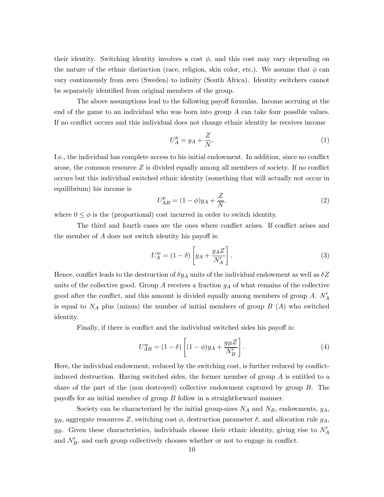their identity. Switching identity involves a cost  $\phi$ , and this cost may vary depending on the nature of the ethnic distinction (race, religion, skin color, etc.). We assume that  $\phi$  can vary continuously from zero (Sweden) to infinity (South Africa). Identity switchers cannot be separately identified from original members of the group.

The above assumptions lead to the following payoff formulas. Income accruing at the end of the game to an individual who was born into group A can take four possible values. If no conflict occurs and this individual does not change ethnic identity he receives income

$$
U_A^p = y_A + \frac{Z}{N}.\tag{1}
$$

I.e., the individual has complete access to his initial endowment. In addition, since no conflict arose, the common resource  $Z$  is divided equally among all members of society. If no conflict occurs but this individual switched ethnic identity (something that will actually not occur in equilibrium) his income is

$$
U_{AB}^p = (1 - \phi)y_A + \frac{Z}{N}.
$$
 (2)

where  $0 \leq \phi$  is the (proportional) cost incurred in order to switch identity.

The third and fourth cases are the ones where conflict arises. If conflict arises and the member of A does not switch identity his payoff is:

$$
U_A^w = (1 - \delta) \left[ y_A + \frac{g_A Z}{N_A'} \right]. \tag{3}
$$

Hence, conflict leads to the destruction of  $\delta y_A$  units of the individual endowment as well as  $\delta Z$ units of the collective good. Group  $A$  receives a fraction  $g_A$  of what remains of the collective good after the conflict, and this amount is divided equally among members of group  $A$ .  $N'_A$ is equal to  $N_A$  plus (minus) the number of initial members of group  $B(A)$  who switched identity.

Finally, if there is conflict and the individual switched sides his payoff is:

$$
U_{AB}^w = (1 - \delta) \left[ (1 - \phi) y_A + \frac{g_B Z}{N'_B} \right]. \tag{4}
$$

Here, the individual endowment, reduced by the switching cost, is further reduced by conflictinduced destruction. Having switched sides, the former member of group  $A$  is entitled to a share of the part of the (non destroyed) collective endowment captured by group B. The payoffs for an initial member of group B follow in a straightforward manner.

Society can be characterized by the initial group-sizes  $N_A$  and  $N_B$ , endowments,  $y_A$ ,  $y_B$ , aggregate resources Z, switching cost  $\phi$ , destruction parameter  $\delta$ , and allocation rule  $g_A$ ,  $g_B$ . Given these characteristics, individuals choose their ethnic identity, giving rise to  $N_A$ and  $N_B'$ , and each group collectively chooses whether or not to engage in conflict.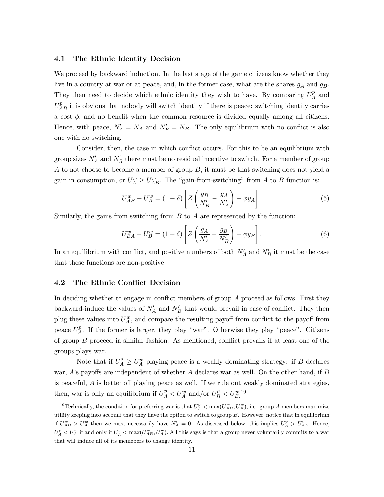#### 4.1 The Ethnic Identity Decision

We proceed by backward induction. In the last stage of the game citizens know whether they live in a country at war or at peace, and, in the former case, what are the shares  $g_A$  and  $g_B$ . They then need to decide which ethnic identity they wish to have. By comparing  $U_A^p$  and  $U_{AB}^{p}$  it is obvious that nobody will switch identity if there is peace: switching identity carries a cost  $\phi$ , and no benefit when the common resource is divided equally among all citizens. Hence, with peace,  $N'_A = N_A$  and  $N'_B = N_B$ . The only equilibrium with no conflict is also one with no switching.

Consider, then, the case in which conflict occurs. For this to be an equilibrium with group sizes  $N_A'$  and  $N_B'$  there must be no residual incentive to switch. For a member of group A to not choose to become a member of group B, it must be that switching does not yield a gain in consumption, or  $U_A^w \geq U_{AB}^w$ . The "gain-from-switching" from A to B function is:

$$
U_{AB}^w - U_A^w = (1 - \delta) \left[ Z \left( \frac{g_B}{N'_B} - \frac{g_A}{N'_A} \right) - \phi y_A \right]. \tag{5}
$$

Similarly, the gains from switching from  $B$  to  $A$  are represented by the function:

$$
U_{BA}^w - U_B^w = (1 - \delta) \left[ Z \left( \frac{g_A}{N_A'} - \frac{g_B}{N_B'} \right) - \phi y_B \right]. \tag{6}
$$

In an equilibrium with conflict, and positive numbers of both  $N_A'$  and  $N_B'$  it must be the case that these functions are non-positive

#### 4.2 The Ethnic Conflict Decision

In deciding whether to engage in conflict members of group A proceed as follows. First they backward-induce the values of  $N_A'$  and  $N_B'$  that would prevail in case of conflict. They then plug these values into  $U_A^w$ , and compare the resulting payoff from conflict to the payoff from peace  $U_A^p$ . If the former is larger, they play "war". Otherwise they play "peace". Citizens of group B proceed in similar fashion. As mentioned, conflict prevails if at least one of the groups plays war.

Note that if  $U_A^p \geq U_A^w$  playing peace is a weakly dominating strategy: if B declares war,  $A$ 's payoffs are independent of whether  $A$  declares war as well. On the other hand, if  $B$ is peaceful, A is better off playing peace as well. If we rule out weakly dominated strategies, then, war is only an equilibrium if  $U_A^p < U_A^w$  and/or  $U_B^p < U_B^{w}$ .

<sup>&</sup>lt;sup>19</sup>Technically, the condition for preferring war is that  $U_A^p < \max(U_{AB}^w, U_A^w)$ , i.e. group A members maximize utility keeping into account that they have the option to switch to group  $B$ . However, notice that in equilibrium if  $U_{AB}^w > U_A^w$  then we must necessarily have  $N_A' = 0$ . As discussed below, this implies  $U_A^p > U_{AB}^w$ . Hence,  $U_A^p < U_A^w$  if and only if  $U_A^p < \max(U_{AB}^w, U_A^w)$ . All this says is that a group never voluntarily commits to a war that will induce all of its memebers to change identity.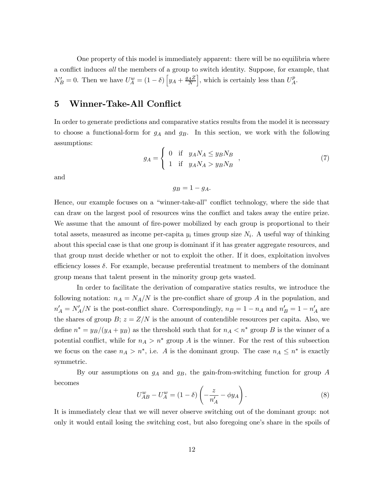One property of this model is immediately apparent: there will be no equilibria where a conflict induces all the members of a group to switch identity. Suppose, for example, that  $N_B' = 0$ . Then we have  $U_A^w = (1 - \delta) \left[ y_A + \frac{g_A Z}{N} \right]$ , which is certainly less than  $U_A^p$ .

# 5 Winner-Take-All Conflict

In order to generate predictions and comparative statics results from the model it is necessary to choose a functional-form for  $g_A$  and  $g_B$ . In this section, we work with the following assumptions:

$$
g_A = \begin{cases} 0 & \text{if } y_A N_A \le y_B N_B \\ 1 & \text{if } y_A N_A > y_B N_B \end{cases}, \tag{7}
$$

and

 $g_B = 1 - g_A.$ 

Hence, our example focuses on a "winner-take-all" conflict technology, where the side that can draw on the largest pool of resources wins the conflict and takes away the entire prize. We assume that the amount of fire-power mobilized by each group is proportional to their total assets, measured as income per-capita  $y_i$  times group size  $N_i$ . A useful way of thinking about this special case is that one group is dominant if it has greater aggregate resources, and that group must decide whether or not to exploit the other. If it does, exploitation involves efficiency losses  $\delta$ . For example, because preferential treatment to members of the dominant group means that talent present in the minority group gets wasted.

In order to facilitate the derivation of comparative statics results, we introduce the following notation:  $n_A = N_A/N$  is the pre-conflict share of group A in the population, and  $n'_A = N'_A/N$  is the post-conflict share. Correspondingly,  $n_B = 1 - n_A$  and  $n'_B = 1 - n'_A$  are the shares of group  $B$ ;  $z = Z/N$  is the amount of contendible resources per capita. Also, we define  $n^* = y_B/(y_A + y_B)$  as the threshold such that for  $n_A < n^*$  group B is the winner of a potential conflict, while for  $n_A > n^*$  group A is the winner. For the rest of this subsection we focus on the case  $n_A > n^*$ , i.e. A is the dominant group. The case  $n_A \leq n^*$  is exactly symmetric.

By our assumptions on  $g_A$  and  $g_B$ , the gain-from-switching function for group A becomes

$$
U_{AB}^w - U_A^w = (1 - \delta) \left( -\frac{z}{n_A'} - \phi y_A \right). \tag{8}
$$

It is immediately clear that we will never observe switching out of the dominant group: not only it would entail losing the switching cost, but also foregoing one's share in the spoils of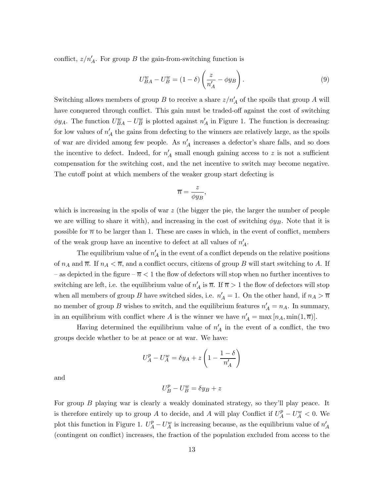conflict,  $z/n'_A$ . For group B the gain-from-switching function is

$$
U_{BA}^w - U_B^w = (1 - \delta) \left(\frac{z}{n_A'} - \phi y_B\right). \tag{9}
$$

Switching allows members of group B to receive a share  $z/n'_A$  of the spoils that group A will have conquered through conflict. This gain must be traded-off against the cost of switching  $\phi y_A$ . The function  $U_{BA}^w - U_B^w$  is plotted against  $n'_A$  in Figure 1. The function is decreasing: for low values of  $n'_A$  the gains from defecting to the winners are relatively large, as the spoils of war are divided among few people. As  $n'_{A}$  increases a defector's share falls, and so does the incentive to defect. Indeed, for  $n'_A$  small enough gaining access to z is not a sufficient compensation for the switching cost, and the net incentive to switch may become negative. The cutoff point at which members of the weaker group start defecting is

$$
\overline{n} = \frac{z}{\phi y_B},
$$

which is increasing in the spolis of war  $z$  (the bigger the pie, the larger the number of people we are willing to share it with), and increasing in the cost of switching  $\phi y_B$ . Note that it is possible for  $\bar{n}$  to be larger than 1. These are cases in which, in the event of conflict, members of the weak group have an incentive to defect at all values of  $n'_A$ .

The equilibrium value of  $n'_A$  in the event of a conflict depends on the relative positions of  $n_A$  and  $\overline{n}$ . If  $n_A < \overline{n}$ , and a conflict occurs, citizens of group B will start switching to A. If – as depicted in the figure  $-\overline{n} < 1$  the flow of defectors will stop when no further incentives to switching are left, i.e. the equilibrium value of  $n'_A$  is  $\overline{n}$ . If  $\overline{n} > 1$  the flow of defectors will stop when all members of group B have switched sides, i.e.  $n'_A = 1$ . On the other hand, if  $n_A > \overline{n}$ no member of group B wishes to switch, and the equilibrium features  $n'_{A} = n_{A}$ . In summary, in an equilibrium with conflict where A is the winner we have  $n'_{A} = \max [n_{A}, \min(1,\overline{n})].$ 

Having determined the equilibrium value of  $n'_A$  in the event of a conflict, the two groups decide whether to be at peace or at war. We have:

$$
U_A^p-U_A^w=\delta y_A+z\left(1-\frac{1-\delta}{n_A'}\right)
$$

and

$$
U_B^p - U_B^w = \delta y_B + z
$$

For group B playing war is clearly a weakly dominated strategy, so they'll play peace. It is therefore entirely up to group A to decide, and A will play Conflict if  $U_A^p - U_A^w < 0$ . We plot this function in Figure 1.  $U_A^p - U_A^w$  is increasing because, as the equilibrium value of  $n'_A$ (contingent on conflict) increases, the fraction of the population excluded from access to the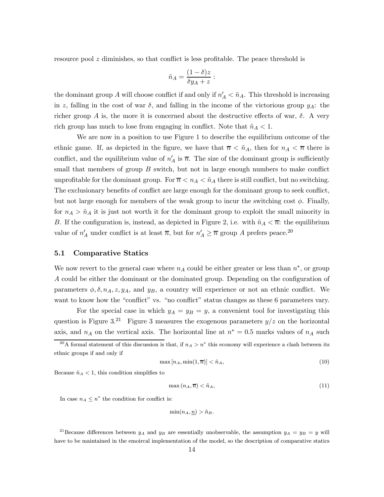resource pool z diminishes, so that conflict is less profitable. The peace threshold is

$$
\tilde{n}_A = \frac{(1-\delta)z}{\delta y_A + z} :
$$

the dominant group A will choose conflict if and only if  $n'_A < \tilde{n}_A$ . This threshold is increasing in z, falling in the cost of war  $\delta$ , and falling in the income of the victorious group  $y_A$ : the richer group A is, the more it is concerned about the destructive effects of war,  $\delta$ . A very rich group has much to lose from engaging in conflict. Note that  $\tilde{n}_A < 1$ .

We are now in a position to use Figure 1 to describe the equilibrium outcome of the ethnic game. If, as depicted in the figure, we have that  $\bar{n} < \tilde{n}_A$ , then for  $n_A < \bar{n}$  there is conflict, and the equilibrium value of  $n'_A$  is  $\overline{n}$ . The size of the dominant group is sufficiently small that members of group  $B$  switch, but not in large enough numbers to make conflict unprofitable for the dominant group. For  $\overline{n} < n_A < \tilde{n}_A$  there is still conflict, but no switching. The exclusionary benefits of conflict are large enough for the dominant group to seek conflict, but not large enough for members of the weak group to incur the switching cost  $\phi$ . Finally, for  $n_A > \tilde{n}_A$  it is just not worth it for the dominant group to exploit the small minority in B. If the configuration is, instead, as depicted in Figure 2, i.e. with  $\tilde{n}_A < \overline{n}$ : the equilibrium value of  $n'_A$  under conflict is at least  $\overline{n}$ , but for  $n'_A \geq \overline{n}$  group A prefers peace.<sup>20</sup>

#### 5.1 Comparative Statics

We now revert to the general case where  $n_A$  could be either greater or less than  $n^*$ , or group A could be either the dominant or the dominated group. Depending on the configuration of parameters  $\phi$ ,  $\delta$ ,  $n_A$ ,  $z$ ,  $y_A$ , and  $y_B$ , a country will experience or not an ethnic conflict. We want to know how the "conflict" vs. "no conflict" status changes as these 6 parameters vary.

For the special case in which  $y_A = y_B = y$ , a convenient tool for investigating this question is Figure 3.<sup>21</sup> Figure 3 measures the exogenous parameters  $y/z$  on the horizontal axis, and  $n_A$  on the vertical axis. The horizontal line at  $n^* = 0.5$  marks values of  $n_A$  such

$$
\max\left[n_A, \min(1, \overline{n})\right] < \tilde{n}_A,\tag{10}
$$

Because  $\tilde{n}_A < 1$ , this condition simplifies to

$$
\max\left(n_A, \overline{n}\right) < \tilde{n}_A,\tag{11}
$$

In case  $n_A \leq n^*$  the condition for conflict is:

$$
\min(n_A, \underline{n}) > \tilde{n}_B.
$$

<sup>21</sup>Because differences between  $y_A$  and  $y_B$  are essentially unobservable, the assumption  $y_A = y_B = y$  will have to be maintained in the emoircal implementation of the model, so the description of comparative statics

<sup>&</sup>lt;sup>20</sup>A formal statement of this discussion is that, if  $n_A > n^*$  this economy will experience a clash between its ethnic groups if and only if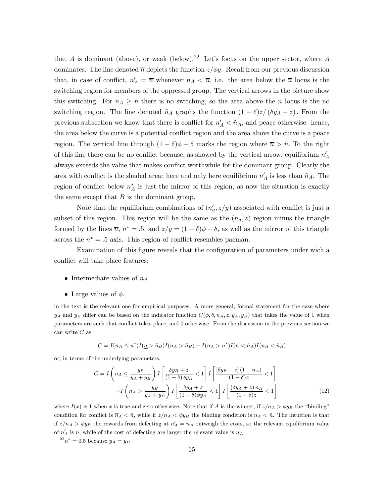that A is dominant (above), or weak (below).<sup>22</sup> Let's focus on the upper sector, where A dominates. The line denoted  $\overline{n}$  depicts the function  $z/\phi y$ . Recall from our previous discussion that, in case of conflict,  $n'_A = \overline{n}$  whenever  $n_A < \overline{n}$ , i.e. the area below the  $\overline{n}$  locus is the switching region for members of the oppressed group. The vertical arrows in the picture show this switching. For  $n_A \geq \overline{n}$  there is no switching, so the area above the  $\overline{n}$  locus is the no switching region. The line denoted  $\tilde{n}_A$  graphs the function  $(1 - \delta)z/(\delta y_A + z)$ . From the previous subsection we know that there is conflict for  $n'_{A} < \tilde{n}_{A}$ , and peace otherwise. hence, the area below the curve is a potential conflict region and the area above the curve is a peace region. The vertical line through  $(1 - \delta)\phi - \delta$  marks the region where  $\bar{n} > \tilde{n}$ . To the right of this line there can be no conflict because, as showed by the vertical arrow, equilibrium  $n'_{A}$ always exceeds the value that makes conflict worthwhile for the dominant group. Clearly the area with conflict is the shaded area: here and only here equilibrium  $n'_{\mathcal{A}}$  is less than  $\tilde{n}_{\mathcal{A}}$ . The region of conflict below  $n_A^*$  is just the mirror of this region, as now the situation is exactly the same except that  $B$  is the dominant group.

Note that the equilibrium combinations of  $(n'_a, z/y)$  associated with conflict is just a subset of this region. This region will be the same as the  $(n_a, z)$  region minus the triangle formed by the lines  $\overline{n}$ ,  $n^* = .5$ , and  $z/y = (1 - \delta)\phi - \delta$ , as well as the mirror of this triangle across the  $n^* = .5$  axis. This region of conflict resembles pacman.

Examination of this figure reveals that the configuration of parameters under wich a conflict will take place features:

- Intermediate values of  $n_A$ .
- Large values of  $\phi$ .

in the text is the relevant one for empirical purposes. A more general, formal statement for the case where  $y_A$  and  $y_B$  differ can be based on the indicator function  $C(\phi, \delta, n_A, z, y_A, y_B)$  that takes the value of 1 when parameters are such that conflict takes place, and 0 otherwise. From the discussion in the previous section we can write  $C$  as

$$
C = I(n_A \leq n^*)I(\underline{n} > \tilde{n}_B)I(n_A > \tilde{n}_B) + I(n_A > n^*)I(\overline{n} < \tilde{n}_A)I(n_A < \tilde{n}_A)
$$

or, in terms of the underlying parameters,

$$
C = I\left(n_A \leq \frac{y_B}{y_A + y_B}\right) I\left[\frac{\delta y_B + z}{(1 - \delta)\phi y_A} < 1\right] I\left[\frac{[\delta y_B + z](1 - n_A)}{(1 - \delta)z} < 1\right] + I\left(n_A > \frac{y_B}{y_A + y_B}\right) I\left[\frac{\delta y_A + z}{(1 - \delta)\phi y_B} < 1\right] I\left[\frac{(\delta y_A + z) n_A}{(1 - \delta)z} < 1\right] \tag{12}
$$

where  $I(x)$  is 1 when x is true and zero otherwise. Note that if A is the winner, if  $z/n_A > \phi y_B$  the "binding" condition for conflict is  $\overline{n}_A < \tilde{n}$ , while if  $z/n_A < \phi y_B$  the binding condition is  $n_A < \tilde{n}$ . The intuition is that if  $z/n_A > \phi y_B$  the rewards from defecting at  $n'_A = n_A$  outweigh the costs, so the relevant equilibrium value of  $n'_A$  is  $\overline{n}$ , while of the cost of defecting are larger the relevant value is  $n_A$ .

 $2^{22}n^* = 0.5$  because  $y_A = y_B$ .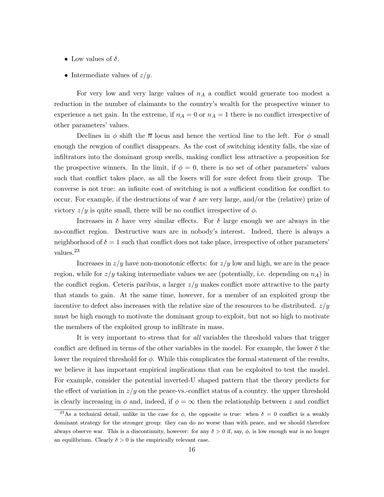- Low values of  $\delta$ .
- Intermediate values of  $z/y$ .

For very low and very large values of  $n_A$  a conflict would generate too modest a reduction in the number of claimants to the country's wealth for the prospective winner to experience a net gain. In the extreme, if  $n_A = 0$  or  $n_A = 1$  there is no conflict irrespective of other parameters' values.

Declines in  $\phi$  shift the  $\overline{n}$  locus and hence the vertical line to the left. For  $\phi$  small enough the rewgion of conflict disappears. As the cost of switching identity falls, the size of infiltrators into the dominant group swells, making conflict less attractive a proposition for the prospective winners. In the limit, if  $\phi = 0$ , there is no set of other parameters' values such that conflict takes place, as all the losers will for sure defect from their group. The converse is not true: an infinite cost of switching is not a sufficient condition for conflict to occur. For example, if the destructions of war  $\delta$  are very large, and/or the (relative) prize of victory  $z/y$  is quite small, there will be no conflict irrespective of  $\phi$ .

Increases in  $\delta$  have very similar effects. For  $\delta$  large enough we are always in the no-conflict region. Destructive wars are in nobody's interest. Indeed, there is always a neighborhood of  $\delta = 1$  such that conflict does not take place, irrespective of other parameters' values.<sup>23</sup>

Increases in  $z/y$  have non-monotonic effects: for  $z/y$  low and high, we are in the peace region, while for  $z/y$  taking intermediate values we are (potentially, i.e. depending on  $n_A$ ) in the conflict region. Ceteris paribus, a larger  $z/y$  makes conflict more attractive to the party that stands to gain. At the same time, however, for a member of an exploited group the incentive to defect also increases with the relative size of the resources to be distributed.  $z/y$ must be high enough to motivate the dominant group to exploit, but not so high to motivate the members of the exploited group to infiltrate in mass.

It is very important to stress that for all variables the threshold values that trigger conflict are defined in terms of the other variables in the model. For example, the lower  $\delta$  the lower the required threshold for  $\phi$ . While this complicates the formal statement of the results, we believe it has important empirical implications that can be exploited to test the model. For example, consider the potential inverted-U shaped pattern that the theory predicts for the effect of variation in  $z/y$  on the peace-vs.-conflict status of a country. the upper threshold is clearly increasing in  $\phi$  and, indeed, if  $\phi = \infty$  then the relationship between z and conflict

<sup>&</sup>lt;sup>23</sup>As a technical detail, unlike in the case for  $\phi$ , the opposite is true: when  $\delta = 0$  conflict is a weakly dominant strategy for the stronger group: they can do no worse than with peace, and we should therefore always observe war. This is a discontinuity, however: for any  $\delta > 0$  if, say,  $\phi$ , is low enough war is no longer an equilibrium. Clearly  $\delta > 0$  is the empirically relevant case.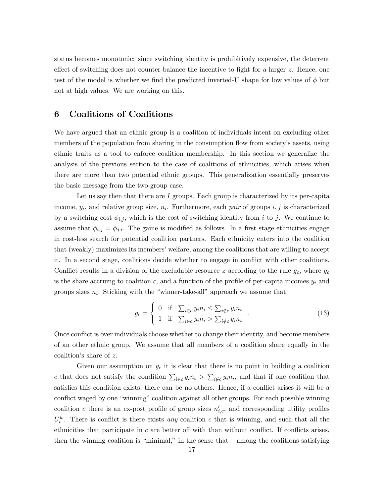status becomes monotonic: since switching identity is prohibitively expensive, the deterrent effect of switching does not counter-balance the incentive to fight for a larger z. Hence, one test of the model is whether we find the predicted inverted-U shape for low values of  $\phi$  but not at high values. We are working on this.

# 6 Coalitions of Coalitions

We have argued that an ethnic group is a coalition of individuals intent on excluding other members of the population from sharing in the consumption flow from society's assets, using ethnic traits as a tool to enforce coalition membership. In this section we generalize the analysis of the previous section to the case of coalitions of ethnicities, which arises when there are more than two potential ethnic groups. This generalization essentially preserves the basic message from the two-group case.

Let us say then that there are  $I$  groups. Each group is characterized by its per-capita income,  $y_i$ , and relative group size,  $n_i$ . Furthermore, each pair of groups i, j is characterized by a switching cost  $\phi_{i,j}$ , which is the cost of switching identity from i to j. We continue to assume that  $\phi_{i,j} = \phi_{j,i}$ . The game is modified as follows. In a first stage ethnicities engage in cost-less search for potential coalition partners. Each ethnicity enters into the coalition that (weakly) maximizes its members' welfare, among the coalitions that are willing to accept it. In a second stage, coalitions decide whether to engage in conflict with other coalitions. Conflict results in a division of the excludable resource z according to the rule  $g_c$ , where  $g_c$ is the share accruing to coalition c, and a function of the profile of per-capita incomes  $y_i$  and groups sizes  $n_i$ . Sticking with the "winner-take-all" approach we assume that

$$
g_c = \begin{cases} 0 & \text{if } \sum_{i \in c} y_i n_i \leq \sum_{i \notin c} y_i n_i \\ 1 & \text{if } \sum_{i \in c} y_i n_i > \sum_{i \notin c} y_i n_i \end{cases} . \tag{13}
$$

Once conflict is over individuals choose whether to change their identity, and become members of an other ethnic group. We assume that all members of a coalition share equally in the coalition's share of z.

Given our assumption on  $g_c$  it is clear that there is no point in building a coalition c that does not satisfy the condition  $\sum_{i \in c} y_i n_i > \sum_{i \notin c} y_i n_i$ , and that if one coalition that satisfies this condition exists, there can be no others. Hence, if a conflict arises it will be a conflict waged by one "winning" coalition against all other groups. For each possible winning coalition c there is an ex-post profile of group sizes  $n'_{i,c}$ , and corresponding utility profiles  $U_i^w$ . There is conflict is there exists any coalition c that is winning, and such that all the ethnicities that participate in  $c$  are better off with than without conflict. If conflicts arises, then the winning coalition is "minimal," in the sense that  $-$  among the coalitions satisfying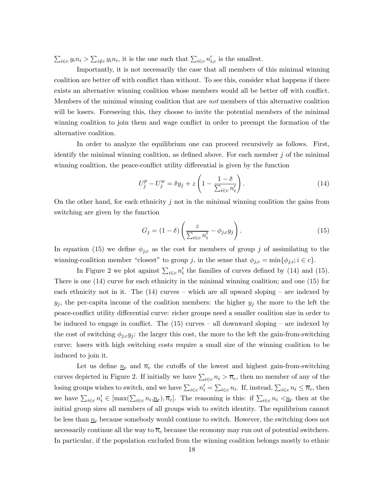$\sum_{i \in c} y_i n_i > \sum_{i \notin c} y_i n_i$ , it is the one such that  $\sum_{i \in c} n'_{i,c}$  is the smallest.

Importantly, it is not necessarily the case that all members of this minimal winning coalition are better off with conflict than without. To see this, consider what happens if there exists an alternative winning coalition whose members would all be better off with conflict. Members of the minimal winning coalition that are not members of this alternative coalition will be losers. Fore seeing this, they choose to invite the potential members of the minimal winning coalition to join them and wage conflict in order to preempt the formation of the alternative coalition.

In order to analyze the equilibrium one can proceed recursively as follows. First, identify the minimal winning coalition, as defined above. For each member  $j$  of the minimal winning coalition, the peace-conflict utility differential is given by the function

$$
U_j^p - U_j^w = \delta y_j + z \left( 1 - \frac{1 - \delta}{\sum_{i \in c} n_i'} \right). \tag{14}
$$

On the other hand, for each ethnicity  $j$  not in the minimal winning coalition the gains from switching are given by the function

$$
G_j = (1 - \delta) \left( \frac{z}{\sum_{i \in c} n'_i} - \phi_{j,c} y_j \right). \tag{15}
$$

In equation (15) we define  $\phi_{j,c}$  as the cost for members of group j of assimilating to the winning-coalition member "closest" to group j, in the sense that  $\phi_{j,c} = \min\{\phi_{j,i}; i \in c\}.$ 

In Figure 2 we plot against  $\sum_{i \in c} n'_i$  the families of curves defined by (14) and (15). There is one (14) curve for each ethnicity in the minimal winning coalition; and one (15) for each ethnicity not in it. The  $(14)$  curves – which are all upward sloping – are indexed by  $y_j$ , the per-capita income of the coalition members: the higher  $y_j$  the more to the left the peace-conflict utility differential curve: richer groups need a smaller coalition size in order to be induced to engage in conflict. The  $(15)$  curves – all downward sloping – are indexed by the cost of switching  $\phi_{j,c}y_j$ : the larger this cost, the more to the left the gain-from-switching curve: losers with high switching costs require a small size of the winning coalition to be induced to join it.

Let us define  $\underline{n}_c$  and  $\overline{n}_c$  the cutoffs of the lowest and highest gain-from-switching curves depicted in Figure 2. If initially we have  $\sum_{i \in c} n_i > \overline{n}_c$ , then no member of any of the losing groups wishes to switch, and we have  $\sum_{i \in c} n'_i = \sum_{i \in c} n_i$ . If, instead,  $\sum_{i \in c} n_i \le \overline{n}_c$ , then we have  $\sum_{i\in c} n'_i \in [\max(\sum_{i\in c} n_i,\underline{n}_c),\overline{n}_c]$ . The reasoning is this: if  $\sum_{i\in c} n_i \langle \underline{n}_c \rangle$  then at the initial group sizes all members of all groups wish to switch identity. The equilibrium cannot be less than  $\underline{n}_c$  because somebody would continue to switch. However, the switching does not necessarily continue all the way to  $\overline{n}_c$  because the economy may run out of potential switchers. In particular, if the population excluded from the winning coalition belongs mostly to ethnic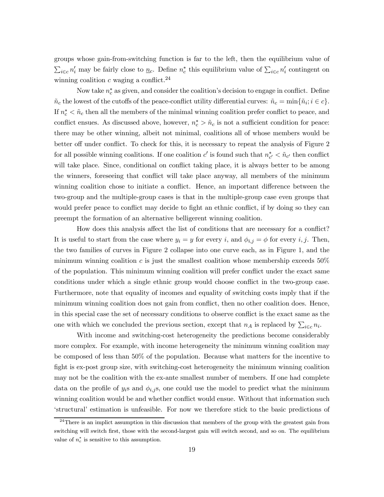groups whose gain-from-switching function is far to the left, then the equilibrium value of  $\sum_{i\in c} n'_i$  may be fairly close to  $\underline{n}_c$ . Define  $n_c^*$  this equilibrium value of  $\sum_{i\in c} n'_i$  contingent on winning coalition c waging a conflict.<sup>24</sup>

Now take  $n_c^*$  as given, and consider the coalition's decision to engage in conflict. Define  $\tilde{n}_c$  the lowest of the cutoffs of the peace-conflict utility differential curves:  $\tilde{n}_c = \min{\{\tilde{n}_i; i \in c\}}$ . If  $n_c^* < \tilde{n}_c$  then all the members of the minimal winning coalition prefer conflict to peace, and conflict ensues. As discussed above, however,  $n_c^* > \tilde{n}_c$  is not a sufficient condition for peace: there may be other winning, albeit not minimal, coalitions all of whose members would be better off under conflict. To check for this, it is necessary to repeat the analysis of Figure 2 for all possible winning coalitions. If one coalition  $c'$  is found such that  $n_{c'}^* < \tilde{n}_{c'}$  then conflict will take place. Since, conditional on conflict taking place, it is always better to be among the winners, foreseeing that conflict will take place anyway, all members of the minimum winning coalition chose to initiate a conflict. Hence, an important difference between the two-group and the multiple-group cases is that in the multiple-group case even groups that would prefer peace to conflict may decide to fight an ethnic conflict, if by doing so they can preempt the formation of an alternative belligerent winning coalition.

How does this analysis affect the list of conditions that are necessary for a conflict? It is useful to start from the case where  $y_i = y$  for every i, and  $\phi_{i,j} = \phi$  for every i, j. Then, the two families of curves in Figure 2 collapse into one curve each, as in Figure 1, and the minimum winning coalition c is just the smallest coalition whose membership exceeds  $50\%$ of the population. This minimum winning coalition will prefer conflict under the exact same conditions under which a single ethnic group would choose conflict in the two-group case. Furthermore, note that equality of incomes and equality of switching costs imply that if the minimum winning coalition does not gain from conflict, then no other coalition does. Hence, in this special case the set of necessary conditions to observe conflict is the exact same as the one with which we concluded the previous section, except that  $n_A$  is replaced by  $\sum_{i \in c} n_i$ .

With income and switching-cost heterogeneity the predictions become considerably more complex. For example, with income heterogeneity the minimum winning coalition may be composed of less than 50% of the population. Because what matters for the incentive to fight is ex-post group size, with switching-cost heterogeneity the minimum winning coalition may not be the coalition with the ex-ante smallest number of members. If one had complete data on the profile of  $y_i$  and  $\phi_{i,j}$ , one could use the model to predict what the minimum winning coalition would be and whether conflict would ensue. Without that information such 'structural' estimation is unfeasible. For now we therefore stick to the basic predictions of

 $^{24}$ There is an implict assumption in this discussion that members of the group with the greatest gain from switching will switch first, those with the second-largest gain will switch second, and so on. The equilibrium value of  $n_c^*$  is sensitive to this assumption.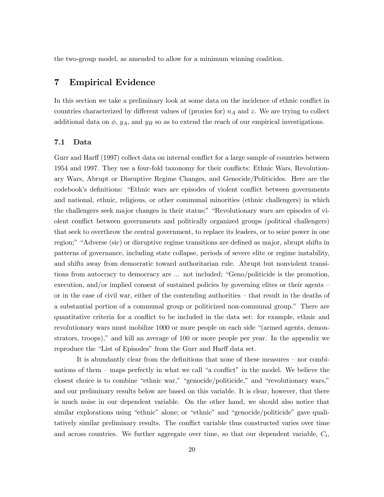the two-group model, as amended to allow for a minimum winning coalition.

## 7 Empirical Evidence

In this section we take a preliminary look at some data on the incidence of ethnic conflict in countries characterized by different values of (proxies for)  $n_A$  and z. We are trying to collect additional data on  $\phi$ ,  $y_A$ , and  $y_B$  so as to extend the reach of our empirical investigations.

#### 7.1 Data

Gurr and Harff (1997) collect data on internal conflict for a large sample of countries between 1954 and 1997. They use a four-fold taxonomy for their conflicts: Ethnic Wars, Revolutionary Wars, Abrupt or Disruptive Regime Changes, and Genocide/Politicides. Here are the codebook's definitions: "Ethnic wars are episodes of violent conflict between governments and national, ethnic, religious, or other communal minorities (ethnic challengers) in which the challengers seek major changes in their status;" "Revolutionary wars are episodes of violent conflict between governments and politically organized groups (political challengers) that seek to overthrow the central government, to replace its leaders, or to seize power in one region;" "Adverse (sic) or disruptive regime transitions are defined as major, abrupt shifts in patterns of governance, including state collapse, periods of severe elite or regime instability, and shifts away from democratic toward authoritarian rule. Abrupt but nonviolent transitions from autocracy to democracy are ... not included; "Geno/politicide is the promotion, execution, and/or implied consent of sustained policies by governing elites or their agents – or in the case of civil war, either of the contending authorities — that result in the deaths of a substantial portion of a communal group or politicized non-communal group." There are quantitative criteria for a conflict to be included in the data set: for example, ethnic and revolutionary wars must mobilize 1000 or more people on each side "(armed agents, demonstrators, troops)," and kill an average of 100 or more people per year. In the appendix we reproduce the "List of Episodes" from the Gurr and Harff data set.

It is abundantly clear from the definitions that none of these measures — nor combinations of them — maps perfectly in what we call "a conflict" in the model. We believe the closest choice is to combine "ethnic war," "genocide/politicide," and "revolutionary wars," and our preliminary results below are based on this variable. It is clear, however, that there is much noise in our dependent variable. On the other hand, we should also notice that similar explorations using "ethnic" alone; or "ethnic" and "genocide/politicide" gave qualitatively similar preliminary results. The conflict variable thus constructed varies over time and across countries. We further aggregate over time, so that our dependent variable,  $C_i$ ,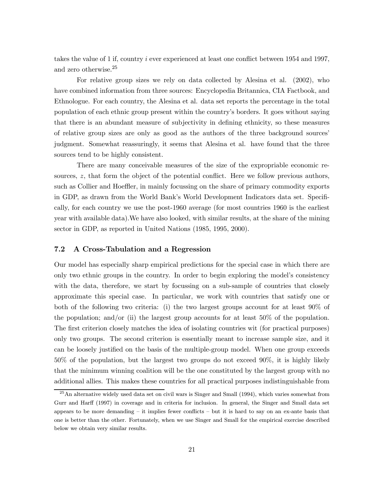takes the value of 1 if, country i ever experienced at least one conflict between 1954 and 1997, and zero otherwise.<sup>25</sup>

For relative group sizes we rely on data collected by Alesina et al. (2002), who have combined information from three sources: Encyclopedia Britannica, CIA Factbook, and Ethnologue. For each country, the Alesina et al. data set reports the percentage in the total population of each ethnic group present within the country's borders. It goes without saying that there is an abundant measure of subjectivity in defining ethnicity, so these measures of relative group sizes are only as good as the authors of the three background sources' judgment. Somewhat reassuringly, it seems that Alesina et al. have found that the three sources tend to be highly consistent.

There are many conceivable measures of the size of the expropriable economic resources, z, that form the object of the potential conflict. Here we follow previous authors, such as Collier and Hoeffler, in mainly focussing on the share of primary commodity exports in GDP, as drawn from the World Bank's World Development Indicators data set. Specifically, for each country we use the post-1960 average (for most countries 1960 is the earliest year with available data).We have also looked, with similar results, at the share of the mining sector in GDP, as reported in United Nations (1985, 1995, 2000).

#### 7.2 A Cross-Tabulation and a Regression

Our model has especially sharp empirical predictions for the special case in which there are only two ethnic groups in the country. In order to begin exploring the model's consistency with the data, therefore, we start by focussing on a sub-sample of countries that closely approximate this special case. In particular, we work with countries that satisfy one or both of the following two criteria: (i) the two largest groups account for at least 90% of the population; and/or (ii) the largest group accounts for at least 50% of the population. The first criterion closely matches the idea of isolating countries wit (for practical purposes) only two groups. The second criterion is essentially meant to increase sample size, and it can be loosely justified on the basis of the multiple-group model. When one group exceeds 50% of the population, but the largest two groups do not exceed 90%, it is highly likely that the minimum winning coalition will be the one constituted by the largest group with no additional allies. This makes these countries for all practical purposes indistinguishable from

<sup>&</sup>lt;sup>25</sup>An alternative widely used data set on civil wars is Singer and Small (1994), which varies somewhat from Gurr and Harff (1997) in coverage and in criteria for inclusion. In general, the Singer and Small data set appears to be more demanding — it implies fewer conflicts — but it is hard to say on an ex-ante basis that one is better than the other. Fortunately, when we use Singer and Small for the empirical exercise described below we obtain very similar results.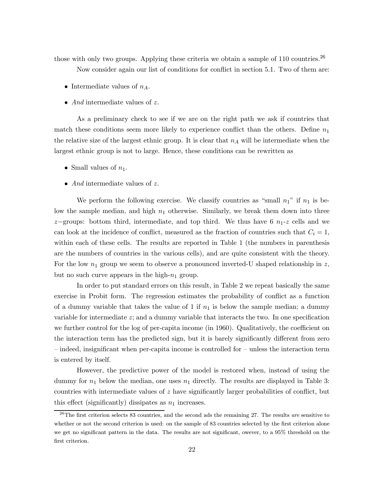those with only two groups. Applying these criteria we obtain a sample of  $110$  countries.<sup>26</sup>

Now consider again our list of conditions for conflict in section 5.1. Two of them are:

- Intermediate values of  $n_A$ .
- *And* intermediate values of z.

As a preliminary check to see if we are on the right path we ask if countries that match these conditions seem more likely to experience conflict than the others. Define  $n_1$ the relative size of the largest ethnic group. It is clear that  $n_A$  will be intermediate when the largest ethnic group is not to large. Hence, these conditions can be rewritten as

- Small values of  $n_1$ .
- *And* intermediate values of z.

We perform the following exercise. We classify countries as "small  $n_1$ " if  $n_1$  is below the sample median, and high  $n_1$  otherwise. Similarly, we break them down into three z−groups: bottom third, intermediate, and top third. We thus have 6  $n_1$ -z cells and we can look at the incidence of conflict, measured as the fraction of countries such that  $C_i = 1$ , within each of these cells. The results are reported in Table 1 (the numbers in parenthesis are the numbers of countries in the various cells), and are quite consistent with the theory. For the low  $n_1$  group we seem to observe a pronounced inverted-U shaped relationship in z, but no such curve appears in the high- $n_1$  group.

In order to put standard errors on this result, in Table 2 we repeat basically the same exercise in Probit form. The regression estimates the probability of conflict as a function of a dummy variable that takes the value of 1 if  $n_1$  is below the sample median; a dummy variable for intermediate z; and a dummy variable that interacts the two. In one specification we further control for the log of per-capita income (in 1960). Qualitatively, the coefficient on the interaction term has the predicted sign, but it is barely significantly different from zero — indeed, insignificant when per-capita income is controlled for — unless the interaction term is entered by itself.

However, the predictive power of the model is restored when, instead of using the dummy for  $n_1$  below the median, one uses  $n_1$  directly. The results are displayed in Table 3: countries with intermediate values of z have significantly larger probabilities of conflict, but this effect (significantly) dissipates as  $n_1$  increases.

<sup>&</sup>lt;sup>26</sup>The first criterion selects 83 countries, and the second ads the remaining 27. The results *are* sensitive to whether or not the second criterion is used: on the sample of 83 countries selected by the first criterion alone we get no significant pattern in the data. The results are not significant, owever, to a 95% threshold on the first criterion.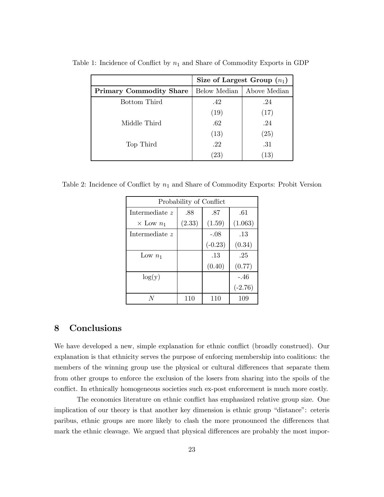|                                | Size of Largest Group $(n_1)$ |                    |  |  |
|--------------------------------|-------------------------------|--------------------|--|--|
| <b>Primary Commodity Share</b> | Below Median                  | Above Median       |  |  |
| Bottom Third                   | .42                           | .24                |  |  |
|                                | (19)                          | (17)               |  |  |
| Middle Third                   | .62                           | .24                |  |  |
|                                | (13)                          | $\left( 25\right)$ |  |  |
| Top Third                      | .22                           | .31                |  |  |
|                                | $^{\prime}23$                 | $\left(13\right)$  |  |  |

Table 1: Incidence of Conflict by  $n_1$  and Share of Commodity Exports in GDP

Table 2: Incidence of Conflict by  $n_1$  and Share of Commodity Exports: Probit Version

| Probability of Conflict |        |           |           |  |  |
|-------------------------|--------|-----------|-----------|--|--|
| Intermediate z          | .88    | .87       | .61       |  |  |
| $\times$ Low $n_1$      | (2.33) | (1.59)    | (1.063)   |  |  |
| Intermediate z          |        | $-.08$    | .13       |  |  |
|                         |        | $(-0.23)$ | (0.34)    |  |  |
| Low $n_1$               |        | .13       | .25       |  |  |
|                         |        | (0.40)    | (0.77)    |  |  |
| $\log(y)$               |        |           | $-.46$    |  |  |
|                         |        |           | $(-2.76)$ |  |  |
|                         | 110    | 110       | 109       |  |  |

# 8 Conclusions

We have developed a new, simple explanation for ethnic conflict (broadly construed). Our explanation is that ethnicity serves the purpose of enforcing membership into coalitions: the members of the winning group use the physical or cultural differences that separate them from other groups to enforce the exclusion of the losers from sharing into the spoils of the conflict. In ethnically homogeneous societies such ex-post enforcement is much more costly.

The economics literature on ethnic conflict has emphasized relative group size. One implication of our theory is that another key dimension is ethnic group "distance": ceteris paribus, ethnic groups are more likely to clash the more pronounced the differences that mark the ethnic cleavage. We argued that physical differences are probably the most impor-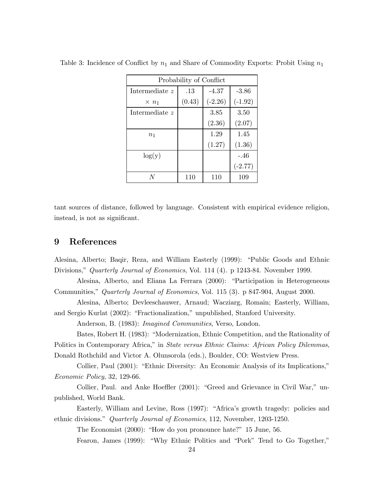| Probability of Conflict |        |           |           |  |  |
|-------------------------|--------|-----------|-----------|--|--|
| Intermediate z          | .13    | $-4.37$   | $-3.86$   |  |  |
| $\times n_1$            | (0.43) | $(-2.26)$ | $(-1.92)$ |  |  |
| Intermediate z          |        | 3.85      | 3.50      |  |  |
|                         |        | (2.36)    | (2.07)    |  |  |
| $n_1$                   |        | 1.29      | 1.45      |  |  |
|                         |        | (1.27)    | (1.36)    |  |  |
| log(y)                  |        |           | $-.46$    |  |  |
|                         |        |           | $(-2.77)$ |  |  |
|                         | 110    | 110       | 109       |  |  |

Table 3: Incidence of Conflict by  $n_1$  and Share of Commodity Exports: Probit Using  $n_1$ 

tant sources of distance, followed by language. Consistent with empirical evidence religion, instead, is not as significant.

# 9 References

Alesina, Alberto; Baqir, Reza, and William Easterly (1999): "Public Goods and Ethnic Divisions," Quarterly Journal of Economics, Vol. 114 (4). p 1243-84. November 1999.

Alesina, Alberto, and Eliana La Ferrara (2000): "Participation in Heterogeneous Communities," Quarterly Journal of Economics, Vol. 115 (3). p 847-904, August 2000.

Alesina, Alberto; Devleeschauwer, Arnaud; Wacziarg, Romain; Easterly, William, and Sergio Kurlat (2002): "Fractionalization," unpublished, Stanford University.

Anderson, B. (1983): *Imagined Communities*, Verso, London.

Bates, Robert H. (1983): "Modernization, Ethnic Competition, and the Rationality of Politics in Contemporary Africa," in State versus Ethnic Claims: African Policy Dilemmas, Donald Rothchild and Victor A. Olunsorola (eds.), Boulder, CO: Westview Press.

Collier, Paul (2001): "Ethnic Diversity: An Economic Analysis of its Implications," Economic Policy, 32, 129-66.

Collier, Paul. and Anke Hoeffler (2001): "Greed and Grievance in Civil War," unpublished, World Bank.

Easterly, William and Levine, Ross (1997): "Africa's growth tragedy: policies and ethnic divisions." Quarterly Journal of Economics, 112, November, 1203-1250.

The Economist (2000): "How do you pronounce hate?" 15 June, 56.

Fearon, James (1999): "Why Ethnic Politics and "Pork" Tend to Go Together,"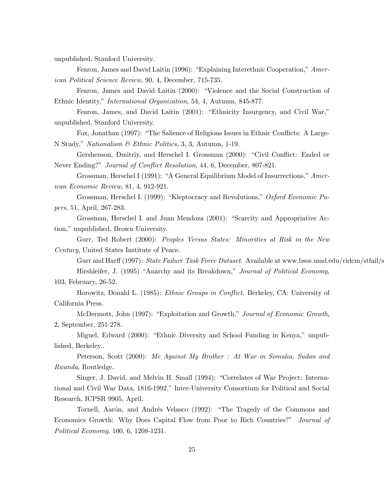unpublished, Stanford University.

Fearon, James and David Laitin (1996): "Explaining Interethnic Cooperation," American Political Science Review, 90, 4, December, 715-735.

Fearon, James and David Laitin (2000): "Violence and the Social Construction of Ethnic Identity," International Organization, 54, 4, Autumn, 845-877.

Fearon, James, and David Laitin (2001): "Ethnicity Insurgency, and Civil War," unpublished, Stanford University.

Fox, Jonathan (1997): "The Salience of Religious Issues in Ethnic Conflicts: A Large-N Study," Nationalism & Ethnic Politics, 3, 3, Autumn, 1-19.

Gershenson, Dmitriy, and Herschel I. Grossman (2000): "Civil Conflict: Ended or Never Ending?" Journal of Conflict Resolution, 44, 6, December, 807-821.

Grossman, Herschel I (1991): "A General Equilibrium Model of Insurrections," American Economic Review, 81, 4, 912-921.

Grossman, Herschel I. (1999): "Kleptocracy and Revolutions," Oxford Economic Papers, 51, April, 267-283.

Grossman, Herschel I. and Juan Mendoza (2001): "Scarcity and Appropriative Action," unpublished, Brown University.

Gurr, Ted Robert (2000): *Peoples Versus States: Minorities at Risk in the New* Century, United States Institute of Peace.

Gurr and Harff (1997): State Failure Task Force Dataset. Available at www.bsos.umd.edu/cidcm/stfail/s Hirshleifer, J. (1995) "Anarchy and its Breakdown," Journal of Political Economy,

103, February, 26-52.

Horowitz, Donald L. (1985): Ethnic Groups in Conflict. Berkeley, CA: University of California Press.

McDermott, John (1997): "Exploitation and Growth," Journal of Economic Growth, 2, September, 251-278.

Miguel, Edward (2000): "Ethnic Diversity and School Funding in Kenya," unpublished, Berkeley..

Peterson, Scott (2000): Me Against My Brother : At War in Somalia, Sudan and Rwanda, Routledge.

Singer, J. David, and Melvin H. Small (1994): "Correlates of War Project: International and Civil War Data, 1816-1992," Inter-University Consortium for Political and Social Research, ICPSR 9905, April.

Tornell, Aarón, and Andrés Velasco (1992): "The Tragedy of the Commons and Economics Growth: Why Does Capital Flow from Poor to Rich Countries?" Journal of Political Economy, 100, 6, 1208-1231.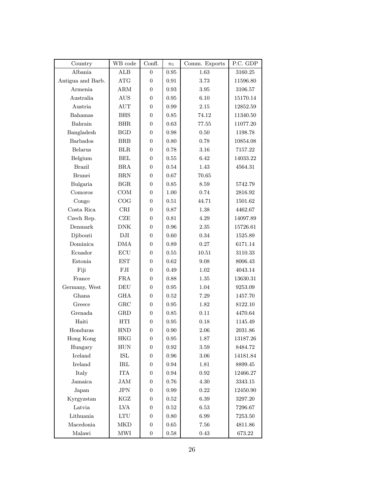| Country           | WB code              | Confl.           | $n_1$      | Comm. Exports | P.C. GDP |
|-------------------|----------------------|------------------|------------|---------------|----------|
| Albania           | ALB                  | $\theta$         | 0.95       | 1.63          | 3160.25  |
| Antigua and Barb. | ATG                  | $\boldsymbol{0}$ | 0.91       | 3.73          | 11596.80 |
| Armenia           | ARM                  | 0                | 0.93       | 3.95          | 3106.57  |
| Australia         | <b>AUS</b>           | $\boldsymbol{0}$ | 0.95       | 6.10          | 15170.14 |
| Austria           | AUT                  | $\boldsymbol{0}$ | 0.99       | 2.15          | 12852.59 |
| Bahamas           | <b>BHS</b>           | 0                | 0.85       | 74.12         | 11340.50 |
| Bahrain           | <b>BHR</b>           | 0                | 0.63       | 77.55         | 11077.20 |
| Bangladesh        | <b>BGD</b>           | 0                | 0.98       | 0.50          | 1198.78  |
| Barbados          | <b>BRB</b>           | 0                | 0.80       | 0.78          | 10854.08 |
| Belarus           | BLR                  | $\boldsymbol{0}$ | 0.78       | 3.16          | 7157.22  |
| Belgium           | <b>BEL</b>           | $\boldsymbol{0}$ | 0.55       | 6.42          | 14033.22 |
| <b>Brazil</b>     | <b>BRA</b>           | $\boldsymbol{0}$ | 0.54       | 1.43          | 4564.31  |
| <b>Brunei</b>     | <b>BRN</b>           | $\boldsymbol{0}$ | 0.67       | 70.65         |          |
| Bulgaria          | BGR                  | $\overline{0}$   | 0.85       | 8.59          | 5742.79  |
| Comoros           | COM                  | $\overline{0}$   | 1.00       | 0.74          | 2816.92  |
| Congo             | COG                  | $\overline{0}$   | 0.51       | 44.71         | 1501.62  |
| Costa Rica        | CRI                  | $\boldsymbol{0}$ | 0.87       | 1.38          | 4462.67  |
| Czech Rep.        | CZE                  | $\boldsymbol{0}$ | 0.81       | 4.29          | 14097.89 |
| Denmark           | <b>DNK</b>           | $\boldsymbol{0}$ | 0.96       | 2.35          | 15726.61 |
| Djibouti          | DJI                  | $\boldsymbol{0}$ | 0.60       | 0.34          | 1525.89  |
| Dominica          | <b>DMA</b>           | $\overline{0}$   | 0.89       | 0.27          | 6171.14  |
| Ecuador           | ECU                  | $\overline{0}$   | 0.55       | 10.51         | 3110.33  |
| Estonia           | <b>EST</b>           | $\overline{0}$   | 0.62       | 9.08          | 8006.43  |
| Fiji              | FJI                  | $\overline{0}$   | 0.49       | 1.02          | 4043.14  |
| France            | <b>FRA</b>           | $\boldsymbol{0}$ | 0.88       | 1.35          | 13630.31 |
| Germany, West     | DEU                  | $\boldsymbol{0}$ | 0.95       | 1.04          | 9253.09  |
| Ghana             | <b>GHA</b>           | $\boldsymbol{0}$ | 0.52       | 7.29          | 1457.70  |
| Greece            | ${\rm GRC}$          | $\boldsymbol{0}$ | 0.95       | 1.82          | 8122.10  |
| Grenada           | <b>GRD</b>           | $\overline{0}$   | 0.85       | 0.11          | 4470.64  |
| Haiti             | HTI                  | $\overline{0}$   | 0.95       | 0.18          | 1145.49  |
| Honduras          | <b>HND</b>           | $\boldsymbol{0}$ | 0.90       | 2.06          | 2031.86  |
| Hong Kong         | <b>HKG</b>           | 0                | $\rm 0.95$ | $1.87\,$      | 13187.26 |
| Hungary           | HUN                  | 0                | 0.92       | 3.59          | 8484.72  |
| Iceland           | $\operatorname{ISL}$ | $\boldsymbol{0}$ | 0.96       | $3.06\,$      | 14181.84 |
| Ireland           | IRL                  | $\boldsymbol{0}$ | 0.94       | 1.81          | 8899.45  |
| Italy             | <b>ITA</b>           | $\boldsymbol{0}$ | 0.94       | 0.92          | 12466.27 |
| Jamaica           | JAM                  | $\boldsymbol{0}$ | 0.76       | 4.30          | 3343.15  |
| Japan             | $_{\mathrm{JPN}}$    | 0                | $\rm 0.99$ | $\rm 0.22$    | 12450.90 |
| Kyrgyzstan        | KGZ                  | $\boldsymbol{0}$ | 0.52       | 6.39          | 3297.20  |
| Latvia            | <b>LVA</b>           | $\boldsymbol{0}$ | 0.52       | $6.53\,$      | 7296.67  |
| Lithuania         | $\mathop{\rm LTU}$   | 0                | $0.80\,$   | 6.99          | 7253.50  |
| Macedonia         | <b>MKD</b>           | $\boldsymbol{0}$ | $0.65\,$   | 7.56          | 4811.86  |
| Malawi            | $\operatorname{MWI}$ | $\boldsymbol{0}$ | $0.58\,$   | $0.43\,$      | 673.22   |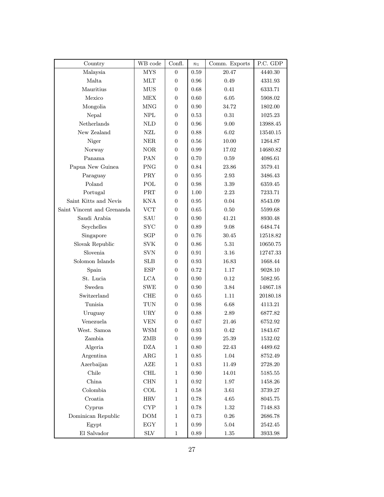| Country                           | WB code                   | Confl.           | $n_1$      | Comm. Exports | P.C. GDP |
|-----------------------------------|---------------------------|------------------|------------|---------------|----------|
| Malaysia                          | <b>MYS</b>                | $\overline{0}$   | 0.59       | 20.47         | 4440.30  |
| Malta                             | <b>MLT</b>                | 0                | 0.96       | 0.49          | 4331.93  |
| Mauritius                         | <b>MUS</b>                | $\overline{0}$   | 0.68       | 0.41          | 6333.71  |
| Mexico                            | <b>MEX</b>                | $\overline{0}$   | 0.60       | 6.05          | 5908.02  |
| Mongolia                          | MNG                       | $\theta$         | 0.90       | 34.72         | 1802.00  |
| Nepal                             | <b>NPL</b>                | $\overline{0}$   | 0.53       | 0.31          | 1025.23  |
| Netherlands                       | $\mbox{NLD}$              | $\overline{0}$   | 0.96       | 9.00          | 13988.45 |
| New Zealand                       | NZL                       | $\overline{0}$   | 0.88       | 6.02          | 13540.15 |
| Niger                             | <b>NER</b>                | $\overline{0}$   | 0.56       | 10.00         | 1264.87  |
| Norway                            | <b>NOR</b>                | $\overline{0}$   | 0.99       | 17.02         | 14680.82 |
| Panama                            | PAN                       | $\overline{0}$   | 0.70       | 0.59          | 4086.61  |
| Papua New Guinea                  | <b>PNG</b>                | $\theta$         | 0.84       | 23.86         | 3579.41  |
| Paraguay                          | <b>PRY</b>                | $\Omega$         | 0.95       | 2.93          | 3486.43  |
| Poland                            | POL                       | $\overline{0}$   | 0.98       | 3.39          | 6359.45  |
| Portugal                          | PRT                       | $\overline{0}$   | 1.00       | 2.23          | 7233.71  |
| Saint Kitts and Nevis             | <b>KNA</b>                | $\overline{0}$   | 0.95       | 0.04          | 8543.09  |
| Saint Vincent and Grenanda        | <b>VCT</b>                | $\overline{0}$   | 0.65       | 0.50          | 5599.68  |
| Saudi Arabia                      | SAU                       | $\overline{0}$   | 0.90       | 41.21         | 8930.48  |
| Seychelles                        | $_{\mathrm{SYC}}$         | $\overline{0}$   | 0.89       | 9.08          | 6484.74  |
| Singapore                         | SGP                       | $\theta$         | 0.76       | 30.45         | 12518.82 |
| Slovak Republic                   | <b>SVK</b>                | $\overline{0}$   | 0.86       | 5.31          | 10650.75 |
| Slovenia                          | <b>SVN</b>                | $\overline{0}$   | 0.91       | 3.16          | 12747.33 |
| Solomon Islands                   | <b>SLB</b>                | $\overline{0}$   | 0.93       | 16.83         | 1668.44  |
| Spain                             | <b>ESP</b>                | $\overline{0}$   | 0.72       | 1.17          | 9028.10  |
| St. Lucia                         | <b>LCA</b>                | $\overline{0}$   | 0.90       | 0.12          | 5082.95  |
| Sweden                            | <b>SWE</b>                | $\overline{0}$   | 0.90       | 3.84          | 14867.18 |
| Switzerland                       | <b>CHE</b>                | $\theta$         | 0.65       | 1.11          | 20180.18 |
| Tunisia                           | <b>TUN</b>                | $\overline{0}$   | 0.98       | 6.68          | 4113.21  |
| Uruguay                           | <b>URY</b>                | $\boldsymbol{0}$ | 0.88       | 2.89          | 6877.82  |
| Venezuela                         | ${\rm VEN}$               | $\overline{0}$   | 0.67       | 21.46         | 6752.92  |
| West. Samoa                       | <b>WSM</b>                | $\boldsymbol{0}$ | 0.93       | 0.42          | 1843.67  |
| Zambia                            | ZMB                       | $\boldsymbol{0}$ | $\rm 0.99$ | $25.39\,$     | 1532.02  |
| Algeria                           | <b>DZA</b>                | $\mathbf{1}$     | 0.80       | 22.43         | 4489.62  |
| Argentina                         | ${\rm ARG}$               | $\mathbf{1}$     | $\rm 0.85$ | $1.04\,$      | 8752.49  |
| Azerbaijan                        | AZE                       | $\mathbf{1}$     | 0.83       | 11.49         | 2728.20  |
| Chile                             | $\operatorname{CHL}$      | $\mathbf{1}$     | 0.90       | 14.01         | 5185.55  |
| China                             | CHN                       | $\mathbf{1}$     | $\rm 0.92$ | 1.97          | 1458.26  |
| Colombia                          | $\ensuremath{\text{COL}}$ | $\mathbf{1}$     | 0.58       | $3.61\,$      | 3739.27  |
| Croatia                           | $\operatorname{HRV}$      | $\mathbf{1}$     | 0.78       | $4.65\,$      | 8045.75  |
| Cyprus                            | $\mathrm{CYP}$            | $\mathbf{1}$     | 0.78       | $1.32\,$      | 7148.83  |
| Dominican Republic                | DOM                       | $\mathbf{1}$     | 0.73       | $0.26\,$      | 2686.78  |
| Egypt                             | $_{\rm EGY}$              | $\mathbf{1}$     | 0.99       | $5.04\,$      | 2542.45  |
| $\mathop{\hbox{\rm El}}$ Salvador | $\rm{SLV}$                | $\mathbf{1}$     | $\rm 0.89$ | $1.35\,$      | 3933.98  |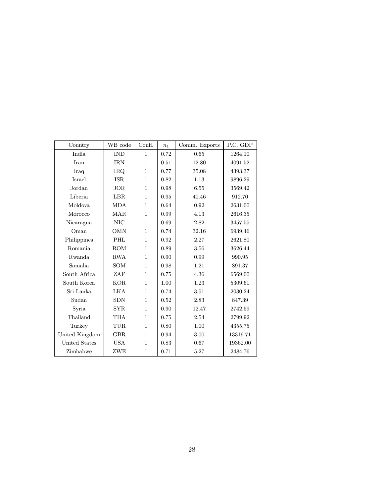| Country              | WB code    | Confl.       | $n_1$ | Comm. Exports | P.C. GDP |
|----------------------|------------|--------------|-------|---------------|----------|
| India                | <b>IND</b> | 1            | 0.72  | 0.65          | 1264.10  |
| Iran                 | <b>IRN</b> | $\mathbf{1}$ | 0.51  | 12.80         | 4091.52  |
| Iraq                 | IRQ.       | $\mathbf{1}$ | 0.77  | 35.08         | 4393.37  |
| Israel               | <b>ISR</b> | $\mathbf{1}$ | 0.82  | 1.13          | 9896.29  |
| Jordan               | <b>JOR</b> | 1            | 0.98  | 6.55          | 3569.42  |
| Liberia              | <b>LBR</b> | $\mathbf{1}$ | 0.95  | 40.46         | 912.70   |
| Moldova              | <b>MDA</b> | $\mathbf{1}$ | 0.64  | 0.92          | 2631.00  |
| Morocco              | <b>MAR</b> | 1            | 0.99  | 4.13          | 2616.35  |
| Nicaragua            | <b>NIC</b> | 1            | 0.69  | 2.82          | 3457.55  |
| Oman                 | <b>OMN</b> | $\mathbf{1}$ | 0.74  | 32.16         | 6939.46  |
| Philippines          | PHL        | $\mathbf{1}$ | 0.92  | 2.27          | 2621.80  |
| Romania              | <b>ROM</b> | 1            | 0.89  | 3.56          | 3626.44  |
| Rwanda               | <b>RWA</b> | 1            | 0.90  | 0.99          | 990.95   |
| Somalia              | SOM        | $\mathbf{1}$ | 0.98  | 1.21          | 891.37   |
| South Africa         | ZAF        | $\mathbf{1}$ | 0.75  | 4.36          | 6569.00  |
| South Korea          | <b>KOR</b> | 1            | 1.00  | 1.23          | 5309.61  |
| Sri Lanka            | <b>LKA</b> | $\mathbf{1}$ | 0.74  | 3.51          | 2030.24  |
| Sudan                | <b>SDN</b> | $\mathbf{1}$ | 0.52  | 2.83          | 847.39   |
| Syria                | <b>SYR</b> | $\mathbf{1}$ | 0.90  | 12.47         | 2742.59  |
| Thailand             | THA        | 1            | 0.75  | 2.54          | 2799.92  |
| Turkey               | TUR        | $\mathbf{1}$ | 0.80  | 1.00          | 4355.75  |
| United Kingdom       | <b>GBR</b> | $\mathbf{1}$ | 0.94  | 3.00          | 13319.71 |
| <b>United States</b> | <b>USA</b> | 1            | 0.83  | 0.67          | 19362.00 |
| Zimbabwe             | ZWE        | $\mathbf{1}$ | 0.71  | 5.27          | 2484.76  |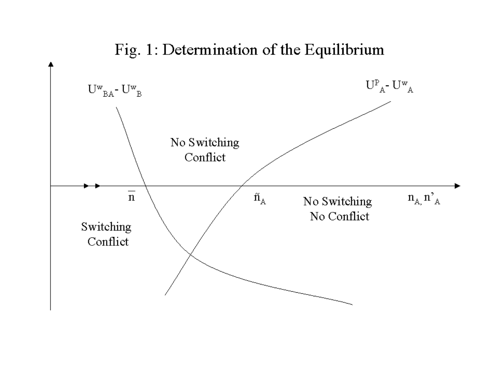